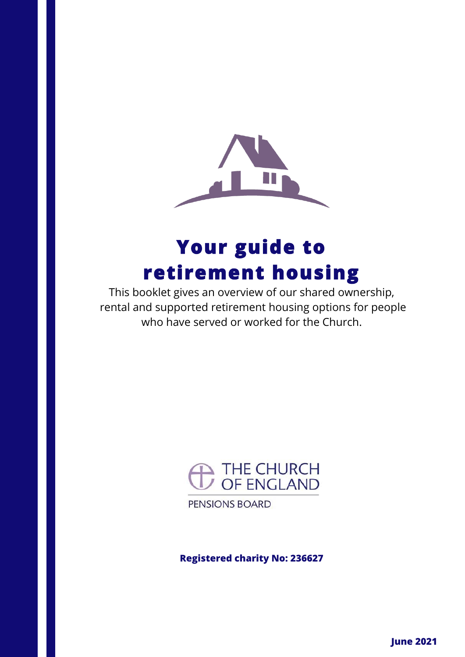

# **Your guide to retirement housing**

This booklet gives an overview of our shared ownership, rental and supported retirement housing options for people who have served or worked for the Church.



PENSIONS BOARD

**Registered charity No: 236627**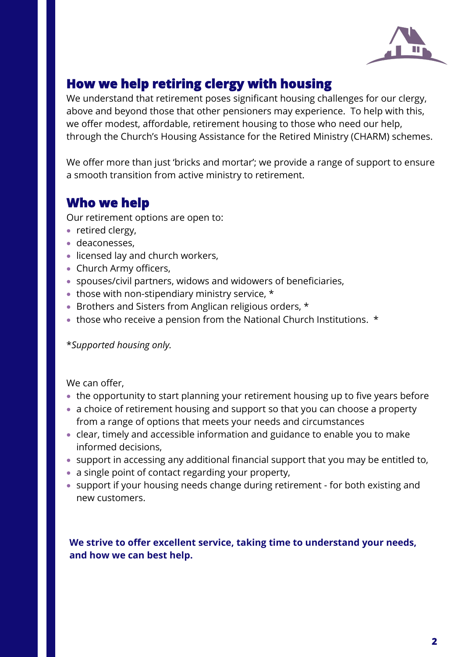

### **How we help retiring clergy with housing**

We understand that retirement poses significant housing challenges for our clergy, above and beyond those that other pensioners may experience. To help with this, we offer modest, affordable, retirement housing to those who need our help, through the Church's Housing Assistance for the Retired Ministry (CHARM) schemes.

We offer more than just 'bricks and mortar'; we provide a range of support to ensure a smooth transition from active ministry to retirement.

### **Who we help**

Our retirement options are open to:

- retired clergy,
- deaconesses,
- licensed lay and church workers,
- Church Army officers,
- spouses/civil partners, widows and widowers of beneficiaries,
- those with non-stipendiary ministry service, \*
- Brothers and Sisters from Anglican religious orders, \*
- those who receive a pension from the National Church Institutions. \*

\**Supported housing only.* 

We can offer,

- the opportunity to start planning your retirement housing up to five years before
- a choice of retirement housing and support so that you can choose a property from a range of options that meets your needs and circumstances
- clear, timely and accessible information and guidance to enable you to make informed decisions,
- support in accessing any additional financial support that you may be entitled to,
- a single point of contact regarding your property,
- support if your housing needs change during retirement for both existing and new customers.

We strive to offer excellent service, taking time to understand your needs, **and how we can best help.**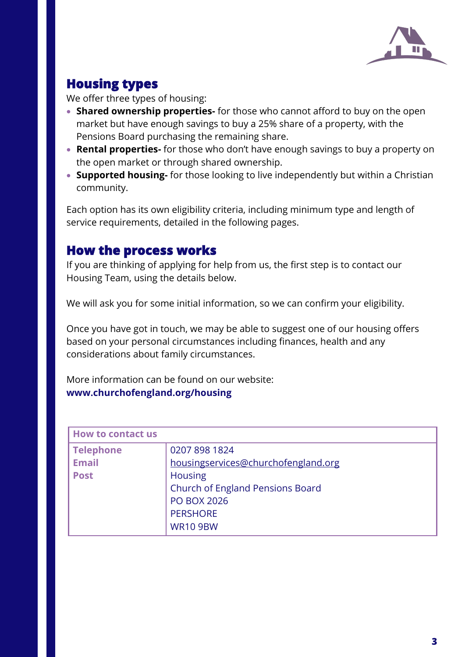

## **Housing types**

We offer three types of housing:

- **Shared ownership properties-** for those who cannot afford to buy on the open market but have enough savings to buy a 25% share of a property, with the Pensions Board purchasing the remaining share.
- **Rental properties-** for those who don't have enough savings to buy a property on the open market or through shared ownership.
- **Supported housing-** for those looking to live independently but within a Christian community.

Each option has its own eligibility criteria, including minimum type and length of service requirements, detailed in the following pages.

### **How the process works**

If you are thinking of applying for help from us, the first step is to contact our Housing Team, using the details below.

We will ask you for some initial information, so we can confirm your eligibility.

Once you have got in touch, we may be able to suggest one of our housing offers based on your personal circumstances including finances, health and any considerations about family circumstances.

More information can be found on our website: **www.churchofengland.org/housing**

| <b>How to contact us</b> |                                         |
|--------------------------|-----------------------------------------|
| <b>Telephone</b>         | 0207 898 1824                           |
| <b>Email</b>             | housingservices@churchofengland.org     |
| <b>Post</b>              | <b>Housing</b>                          |
|                          | <b>Church of England Pensions Board</b> |
|                          | <b>PO BOX 2026</b>                      |
|                          | <b>PERSHORE</b>                         |
|                          | <b>WR10 9BW</b>                         |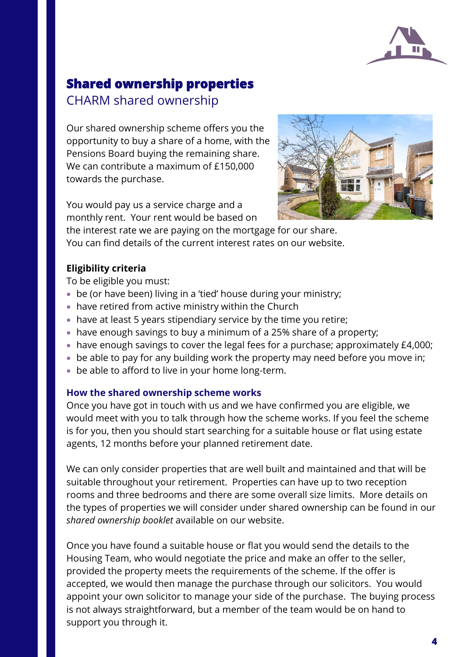

### **Shared ownership properties**  CHARM shared ownership

Our shared ownership scheme offers you the opportunity to buy a share of a home, with the Pensions Board buying the remaining share. We can contribute a maximum of £150,000 towards the purchase.

You would pay us a service charge and a monthly rent. Your rent would be based on



the interest rate we are paying on the mortgage for our share. You can find details of the current interest rates on our website.

#### **Eligibility criteria**

To be eligible you must:

- be (or have been) living in a 'tied' house during your ministry;
- have retired from active ministry within the Church
- have at least 5 years stipendiary service by the time you retire;
- have enough savings to buy a minimum of a 25% share of a property;
- have enough savings to cover the legal fees for a purchase; approximately £4,000;
- be able to pay for any building work the property may need before you move in;
- be able to afford to live in your home long-term.

#### **How the shared ownership scheme works**

Once you have got in touch with us and we have confirmed you are eligible, we would meet with you to talk through how the scheme works. If you feel the scheme is for you, then you should start searching for a suitable house or flat using estate agents, 12 months before your planned retirement date.

We can only consider properties that are well built and maintained and that will be suitable throughout your retirement. Properties can have up to two reception rooms and three bedrooms and there are some overall size limits. More details on the types of properties we will consider under shared ownership can be found in our *shared ownership booklet* available on our website.

Once you have found a suitable house or flat you would send the details to the Housing Team, who would negotiate the price and make an offer to the seller, provided the property meets the requirements of the scheme. If the offer is accepted, we would then manage the purchase through our solicitors. You would appoint your own solicitor to manage your side of the purchase. The buying process is not always straightforward, but a member of the team would be on hand to support you through it.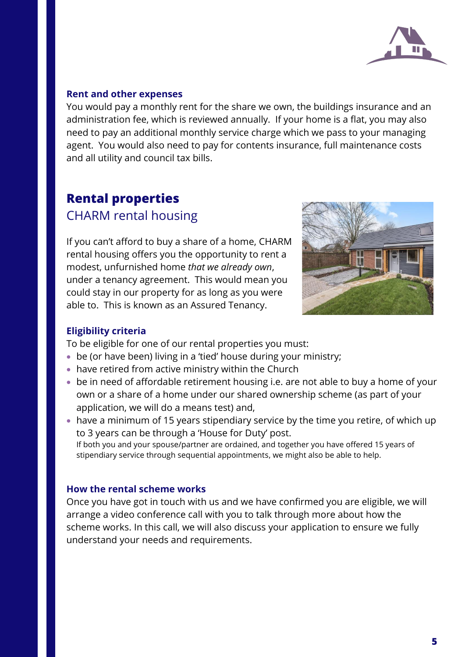

#### **Rent and other expenses**

You would pay a monthly rent for the share we own, the buildings insurance and an administration fee, which is reviewed annually. If your home is a flat, you may also need to pay an additional monthly service charge which we pass to your managing agent. You would also need to pay for contents insurance, full maintenance costs and all utility and council tax bills.

# **Rental properties**  CHARM rental housing

If you can't afford to buy a share of a home, CHARM rental housing offers you the opportunity to rent a modest, unfurnished home *that we already own*, under a tenancy agreement. This would mean you could stay in our property for as long as you were able to. This is known as an Assured Tenancy.



#### **Eligibility criteria**

To be eligible for one of our rental properties you must:

- be (or have been) living in a 'tied' house during your ministry;
- have retired from active ministry within the Church
- be in need of affordable retirement housing i.e. are not able to buy a home of your own or a share of a home under our shared ownership scheme (as part of your application, we will do a means test) and,
- have a minimum of 15 years stipendiary service by the time you retire, of which up to 3 years can be through a 'House for Duty' post. If both you and your spouse/partner are ordained, and together you have offered 15 years of stipendiary service through sequential appointments, we might also be able to help.

#### **How the rental scheme works**

Once you have got in touch with us and we have confirmed you are eligible, we will arrange a video conference call with you to talk through more about how the scheme works. In this call, we will also discuss your application to ensure we fully understand your needs and requirements.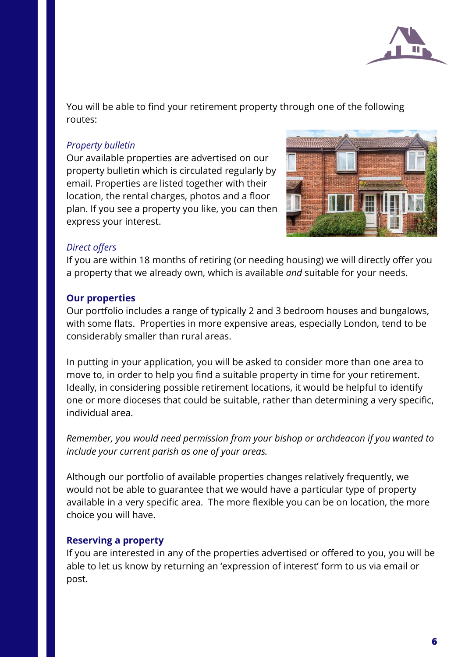

You will be able to find your retirement property through one of the following routes:

#### *Property bulletin*

Our available properties are advertised on our property bulletin which is circulated regularly by email. Properties are listed together with their location, the rental charges, photos and a floor plan. If you see a property you like, you can then express your interest.



#### *Direct offers*

If you are within 18 months of retiring (or needing housing) we will directly offer you a property that we already own, which is available *and* suitable for your needs.

#### **Our properties**

Our portfolio includes a range of typically 2 and 3 bedroom houses and bungalows, with some flats. Properties in more expensive areas, especially London, tend to be considerably smaller than rural areas.

In putting in your application, you will be asked to consider more than one area to move to, in order to help you find a suitable property in time for your retirement. Ideally, in considering possible retirement locations, it would be helpful to identify one or more dioceses that could be suitable, rather than determining a very specific, individual area.

*Remember, you would need permission from your bishop or archdeacon if you wanted to include your current parish as one of your areas.*

Although our portfolio of available properties changes relatively frequently, we would not be able to guarantee that we would have a particular type of property available in a very specific area. The more flexible you can be on location, the more choice you will have.

#### **Reserving a property**

If you are interested in any of the properties advertised or offered to you, you will be able to let us know by returning an 'expression of interest' form to us via email or post.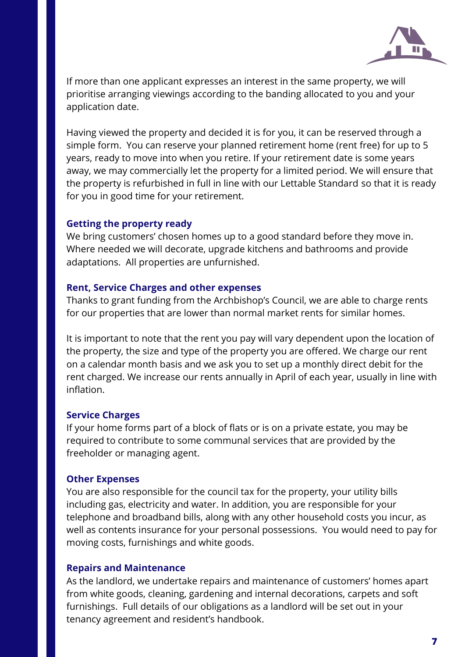

If more than one applicant expresses an interest in the same property, we will prioritise arranging viewings according to the banding allocated to you and your application date.

Having viewed the property and decided it is for you, it can be reserved through a simple form. You can reserve your planned retirement home (rent free) for up to 5 years, ready to move into when you retire. If your retirement date is some years away, we may commercially let the property for a limited period. We will ensure that the property is refurbished in full in line with our Lettable Standard so that it is ready for you in good time for your retirement.

#### **Getting the property ready**

We bring customers' chosen homes up to a good standard before they move in. Where needed we will decorate, upgrade kitchens and bathrooms and provide adaptations. All properties are unfurnished.

#### **Rent, Service Charges and other expenses**

Thanks to grant funding from the Archbishop's Council, we are able to charge rents for our properties that are lower than normal market rents for similar homes.

It is important to note that the rent you pay will vary dependent upon the location of the property, the size and type of the property you are offered. We charge our rent on a calendar month basis and we ask you to set up a monthly direct debit for the rent charged. We increase our rents annually in April of each year, usually in line with inflation.

#### **Service Charges**

If your home forms part of a block of flats or is on a private estate, you may be required to contribute to some communal services that are provided by the freeholder or managing agent.

#### **Other Expenses**

You are also responsible for the council tax for the property, your utility bills including gas, electricity and water. In addition, you are responsible for your telephone and broadband bills, along with any other household costs you incur, as well as contents insurance for your personal possessions. You would need to pay for moving costs, furnishings and white goods.

#### **Repairs and Maintenance**

As the landlord, we undertake repairs and maintenance of customers' homes apart from white goods, cleaning, gardening and internal decorations, carpets and soft furnishings. Full details of our obligations as a landlord will be set out in your tenancy agreement and resident's handbook.